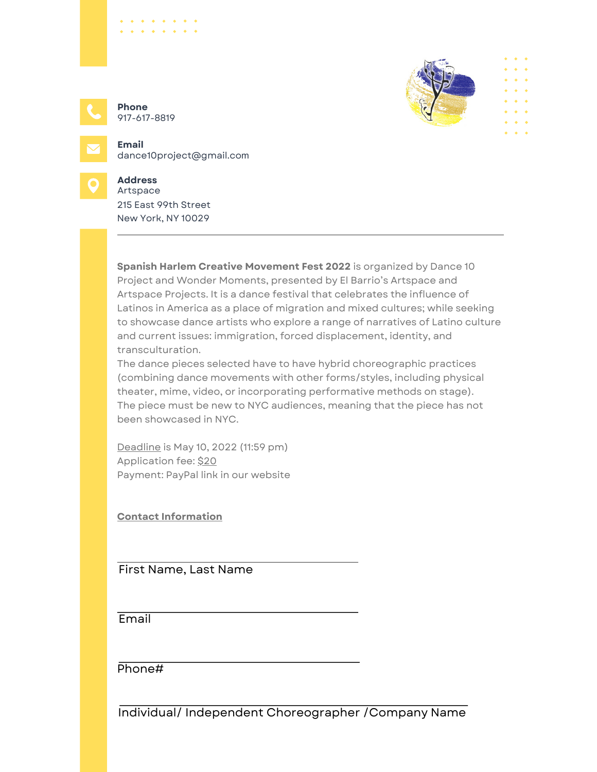

**Phone** 917-617-8819

 $\begin{array}{cccccccccccccc} \bullet & \bullet & \bullet & \bullet & \bullet & \bullet & \bullet & \bullet \end{array}$ 



**Email** dance10project@gmail.com



## **Address**

215 East 99th Street New York, NY 10029 Artspace

**Spanish Harlem Creative Movement Fest 2022** is organized by Dance 10 Project and Wonder Moments, presented by El Barrio's Artspace and Artspace Projects. It is a dance festival that celebrates the influence of Latinos in America as a place of migration and mixed cultures; while seeking to showcase dance artists who explore a range of narratives of Latino culture and current issues: immigration, forced displacement, identity, and transculturation.

The dance pieces selected have to have hybrid choreographic practices (combining dance movements with other forms/styles, including physical theater, mime, video, or incorporating performative methods on stage). The piece must be new to NYC audiences, meaning that the piece has not been showcased in NYC.

Deadline is May 10, 2022 (11:59 pm) Application fee: \$20 Payment: PayPal link in our website

**Contact Information**

First Name, Last Name

**Email** 

Phone#

Individual/ Independent Choreographer /Company Name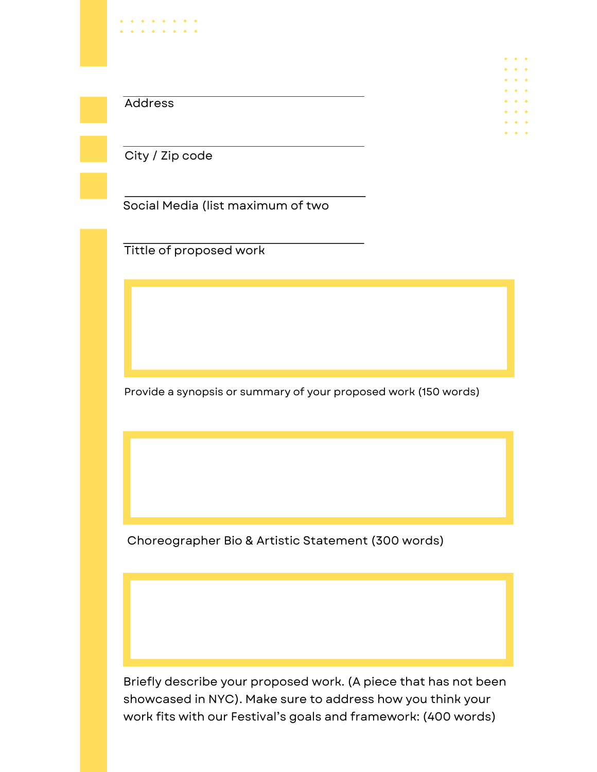|         | $\Phi_{\rm{eff}}$ , $\Phi_{\rm{eff}}$ , $\Phi$             |  |
|---------|------------------------------------------------------------|--|
|         |                                                            |  |
|         | $\Phi_{\rm{eff}}$ , $\Phi_{\rm{eff}}$ , $\Phi$             |  |
|         | $\bullet \quad \bullet \quad \bullet$                      |  |
|         | $\bullet \quad \bullet \quad \bullet$                      |  |
| Address | $\Phi_{\alpha\beta}=\Phi_{\alpha\beta}=\Phi_{\alpha\beta}$ |  |
|         | $\bullet \quad \bullet \quad \bullet$                      |  |
|         | $\bullet \quad \bullet \quad \bullet$                      |  |
|         |                                                            |  |
|         | $\bullet\quad\bullet\quad\bullet$                          |  |

City / Zip code

 $\begin{array}{cccccccccccccc} \bullet & \bullet & \bullet & \bullet & \bullet & \bullet \end{array}$ 

Social Media (list maximum of two

Tittle of proposed work

Provide a synopsis or summary of your proposed work (150 words)

Choreographer Bio & Artistic Statement (300 words)

Briefly describe your proposed work. (A piece that has not been showcased in NYC). Make sure to address how you think your work fits with our Festival's goals and framework: (400 words)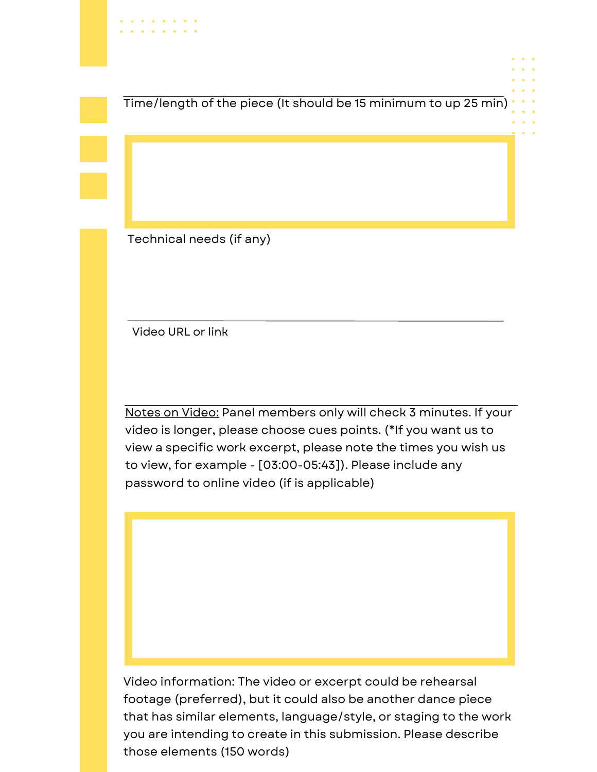Time/length of the piece (It should be 15 minimum to up 25 min)

Technical needs (if any)

Video URL or link

Notes on Video: Panel members only will check 3 minutes. If your video is longer, please choose cues points. (\*If you want us to view a specific work excerpt, please note the times you wish us to view, for example - [03:00-05:43]). Please include any password to online video (if is applicable)

Video information: The video or excerpt could be rehearsal footage (preferred), but it could also be another dance piece that has similar elements, language/style, or staging to the work you are intending to create in this submission. Please describe those elements (150 words)